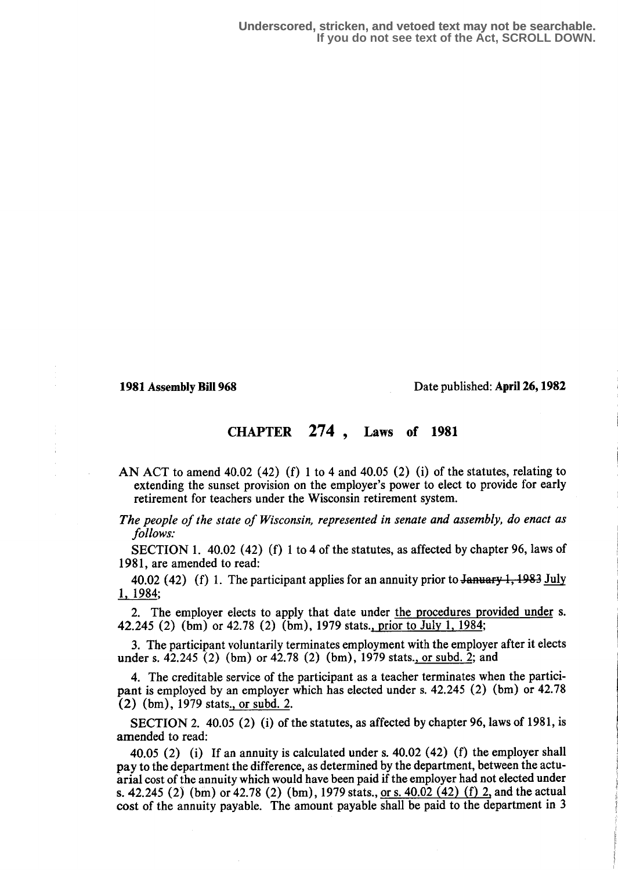1981 Assembly Bill 968 **Date published:** April 26, 1982

## CHAPTER 274 , Laws of 1981

AN ACT to amend  $40.02$  (42) (f) 1 to 4 and  $40.05$  (2) (i) of the statutes, relating to extending the sunset provision on the employer's power to elect to provide for early retirement for teachers under the Wisconsin retirement system.

The people of the state of Wisconsin, represented in senate and assembly, do enact as follows:

SECTION 1. 40.02 (42) (f) 1 to 4 of the statutes, as affected by chapter 96, laws of 1981, are amended to read:

40.02 (42) (f) 1. The participant applies for an annuity prior to January 1, 1983 July 1, 1984;

2. The employer elects to apply that date under the procedures provided under s. 42.245 (2) (bm) or 42.78 (2) (bm), 1979 stats. , prior to duly 1, 1984;

3. The participant voluntarily terminates employment with the employer after it elects under s.  $42.245(2)$  (bm) or  $42.78(2)$  (bm), 1979 stats, or subd. 2; and

4. The creditable service of the participant as a teacher terminates when the participant is employed by an employer which has elected under s. 42.245 (2) (bm) or 42.78 (2) (bm), 1979 stats., or subd. 2.

SECTION 2. 40.05 (2) (i) of the statutes, as affected by chapter 96, laws of 1981, is amended to read:

40.05 (2) (i) If an annuity is calculated under s.  $40.02$  (42) (f) the employer shall pay to the department the difference, as determined by the department, between the actuarial cost of the annuity which would have been paid if the employer had not elected under s. 42.245 (2) (bm) or 42.78 (2) (bm), 1979 stats., <u>or s. 40.02 (42) (f) 2</u>, and the actual cost of the annuity payable . The amount payable shall be paid to the department in 3